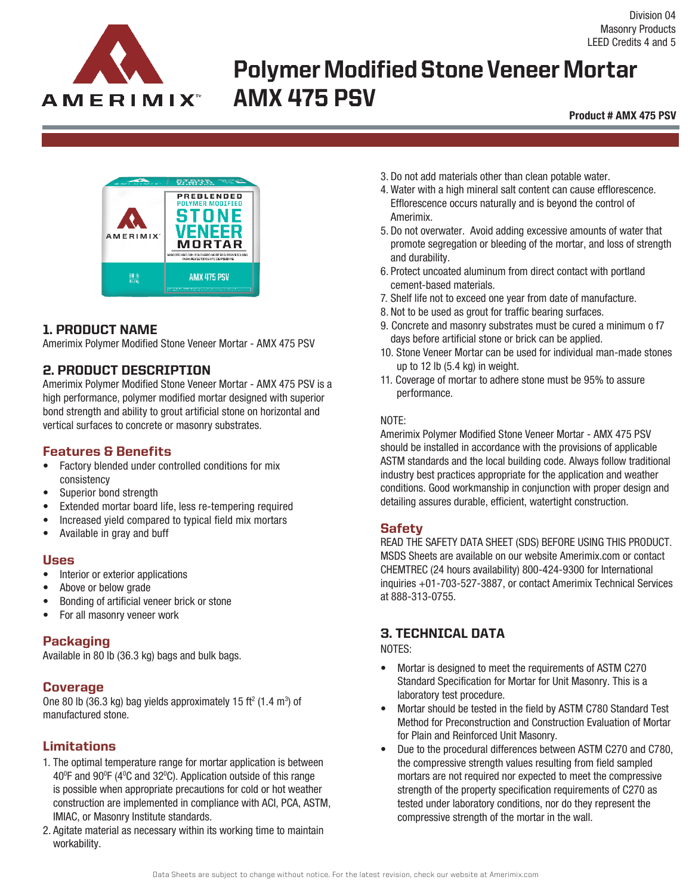

# Polymer Modified Stone Veneer Mortar AMX 475 PSV

**Product # AMX 475 PSV**



## 1. PRODUCT NAME

Amerimix Polymer Modified Stone Veneer Mortar - AMX 475 PSV

## 2. PRODUCT DESCRIPTION

Amerimix Polymer Modified Stone Veneer Mortar - AMX 475 PSV is a high performance, polymer modified mortar designed with superior bond strength and ability to grout artificial stone on horizontal and vertical surfaces to concrete or masonry substrates.

#### Features & Benefits

- Factory blended under controlled conditions for mix consistency
- Superior bond strength
- Extended mortar board life, less re-tempering required
- Increased yield compared to typical field mix mortars
- Available in gray and buff

#### Uses

- Interior or exterior applications
- Above or below grade
- Bonding of artificial veneer brick or stone
- For all masonry veneer work

## **Packaging**

Available in 80 lb (36.3 kg) bags and bulk bags.

## Coverage

One 80 lb (36.3 kg) bag yields approximately 15 ft<sup>2</sup> (1.4 m<sup>3</sup>) of manufactured stone.

## Limitations

- 1. The optimal temperature range for mortar application is between 40°F and 90°F (4°C and 32°C). Application outside of this range is possible when appropriate precautions for cold or hot weather construction are implemented in compliance with ACI, PCA, ASTM, IMIAC, or Masonry Institute standards.
- 2. Agitate material as necessary within its working time to maintain workability.
- 3. Do not add materials other than clean potable water.
- 4. Water with a high mineral salt content can cause efflorescence. Efflorescence occurs naturally and is beyond the control of Amerimix.
- 5. Do not overwater. Avoid adding excessive amounts of water that promote segregation or bleeding of the mortar, and loss of strength and durability.
- 6. Protect uncoated aluminum from direct contact with portland cement-based materials.
- 7. Shelf life not to exceed one year from date of manufacture.
- 8. Not to be used as grout for traffic bearing surfaces.
- 9. Concrete and masonry substrates must be cured a minimum o f7 days before artificial stone or brick can be applied.
- 10. Stone Veneer Mortar can be used for individual man-made stones up to 12 lb (5.4 kg) in weight.
- 11. Coverage of mortar to adhere stone must be 95% to assure performance.

#### NOTE:

Amerimix Polymer Modified Stone Veneer Mortar - AMX 475 PSV should be installed in accordance with the provisions of applicable ASTM standards and the local building code. Always follow traditional industry best practices appropriate for the application and weather conditions. Good workmanship in conjunction with proper design and detailing assures durable, efficient, watertight construction.

## **Safety**

READ THE SAFETY DATA SHEET (SDS) BEFORE USING THIS PRODUCT. MSDS Sheets are available on our website Amerimix.com or contact CHEMTREC (24 hours availability) 800-424-9300 for International inquiries +01-703-527-3887, or contact Amerimix Technical Services at 888-313-0755.

## 3. TECHNICAL DATA

#### NOTES:

- Mortar is designed to meet the requirements of ASTM C270 Standard Specification for Mortar for Unit Masonry. This is a laboratory test procedure.
- Mortar should be tested in the field by ASTM C780 Standard Test Method for Preconstruction and Construction Evaluation of Mortar for Plain and Reinforced Unit Masonry.
- Due to the procedural differences between ASTM C270 and C780, the compressive strength values resulting from field sampled mortars are not required nor expected to meet the compressive strength of the property specification requirements of C270 as tested under laboratory conditions, nor do they represent the compressive strength of the mortar in the wall.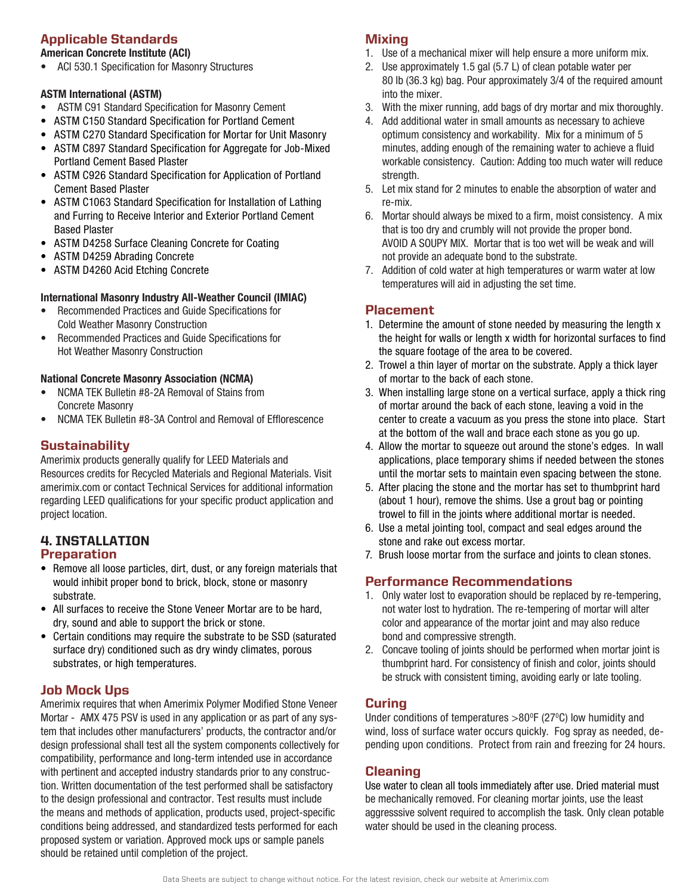# Applicable Standards

#### **American Concrete Institute (ACI)**

• ACI 530.1 Specification for Masonry Structures

#### **ASTM International (ASTM)**

- ASTM C91 Standard Specification for Masonry Cement
- ASTM C150 Standard Specification for Portland Cement
- ASTM C270 Standard Specification for Mortar for Unit Masonry
- ASTM C897 Standard Specification for Aggregate for Job-Mixed Portland Cement Based Plaster
- ASTM C926 Standard Specification for Application of Portland Cement Based Plaster
- ASTM C1063 Standard Specification for Installation of Lathing and Furring to Receive Interior and Exterior Portland Cement Based Plaster
- ASTM D4258 Surface Cleaning Concrete for Coating
- ASTM D4259 Abrading Concrete
- ASTM D4260 Acid Etching Concrete

#### **International Masonry Industry All-Weather Council (IMIAC)**

- Recommended Practices and Guide Specifications for Cold Weather Masonry Construction
- Recommended Practices and Guide Specifications for Hot Weather Masonry Construction

#### **National Concrete Masonry Association (NCMA)**

- NCMA TEK Bulletin #8-2A Removal of Stains from Concrete Masonry
- NCMA TEK Bulletin #8-3A Control and Removal of Efflorescence

#### **Sustainability**

Amerimix products generally qualify for LEED Materials and Resources credits for Recycled Materials and Regional Materials. Visit amerimix.com or contact Technical Services for additional information regarding LEED qualifications for your specific product application and project location.

#### 4. INSTALLATION Preparation

- Remove all loose particles, dirt, dust, or any foreign materials that would inhibit proper bond to brick, block, stone or masonry substrate.
- All surfaces to receive the Stone Veneer Mortar are to be hard, dry, sound and able to support the brick or stone.
- Certain conditions may require the substrate to be SSD (saturated surface dry) conditioned such as dry windy climates, porous substrates, or high temperatures.

## Job Mock Ups

Amerimix requires that when Amerimix Polymer Modified Stone Veneer Mortar - AMX 475 PSV is used in any application or as part of any system that includes other manufacturers' products, the contractor and/or design professional shall test all the system components collectively for compatibility, performance and long-term intended use in accordance with pertinent and accepted industry standards prior to any construction. Written documentation of the test performed shall be satisfactory to the design professional and contractor. Test results must include the means and methods of application, products used, project-specific conditions being addressed, and standardized tests performed for each proposed system or variation. Approved mock ups or sample panels should be retained until completion of the project.

## Mixing

- 1. Use of a mechanical mixer will help ensure a more uniform mix.
- 2. Use approximately 1.5 gal (5.7 L) of clean potable water per 80 lb (36.3 kg) bag. Pour approximately 3/4 of the required amount
- into the mixer. 3. With the mixer running, add bags of dry mortar and mix thoroughly.
- 4. Add additional water in small amounts as necessary to achieve optimum consistency and workability. Mix for a minimum of 5 minutes, adding enough of the remaining water to achieve a fluid workable consistency. Caution: Adding too much water will reduce strength.
- 5. Let mix stand for 2 minutes to enable the absorption of water and re-mix.
- 6. Mortar should always be mixed to a firm, moist consistency. A mix that is too dry and crumbly will not provide the proper bond. AVOID A SOUPY MIX. Mortar that is too wet will be weak and will not provide an adequate bond to the substrate.
- 7. Addition of cold water at high temperatures or warm water at low temperatures will aid in adjusting the set time.

## Placement

- 1. Determine the amount of stone needed by measuring the length x the height for walls or length x width for horizontal surfaces to find the square footage of the area to be covered.
- 2. Trowel a thin layer of mortar on the substrate. Apply a thick layer of mortar to the back of each stone.
- 3. When installing large stone on a vertical surface, apply a thick ring of mortar around the back of each stone, leaving a void in the center to create a vacuum as you press the stone into place. Start at the bottom of the wall and brace each stone as you go up.
- 4. Allow the mortar to squeeze out around the stone's edges. In wall applications, place temporary shims if needed between the stones until the mortar sets to maintain even spacing between the stone.
- 5. After placing the stone and the mortar has set to thumbprint hard (about 1 hour), remove the shims. Use a grout bag or pointing trowel to fill in the joints where additional mortar is needed.
- 6. Use a metal jointing tool, compact and seal edges around the stone and rake out excess mortar.
- 7. Brush loose mortar from the surface and joints to clean stones.

#### Performance Recommendations

- 1. Only water lost to evaporation should be replaced by re-tempering, not water lost to hydration. The re-tempering of mortar will alter color and appearance of the mortar joint and may also reduce bond and compressive strength.
- 2. Concave tooling of joints should be performed when mortar joint is thumbprint hard. For consistency of finish and color, joints should be struck with consistent timing, avoiding early or late tooling.

## **Curing**

Under conditions of temperatures  $>$ 80 $\mathrm{^0F}$  (27 $\mathrm{^0C}$ ) low humidity and wind, loss of surface water occurs quickly. Fog spray as needed, depending upon conditions. Protect from rain and freezing for 24 hours.

## Cleaning

Use water to clean all tools immediately after use. Dried material must be mechanically removed. For cleaning mortar joints, use the least aggresssive solvent required to accomplish the task. Only clean potable water should be used in the cleaning process.